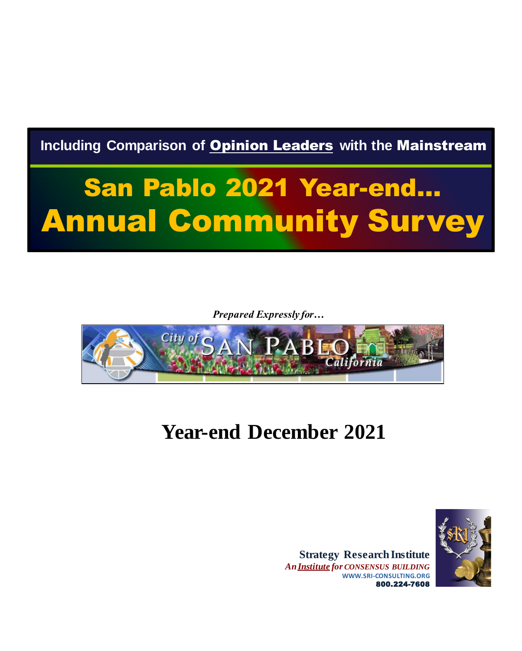**Including Comparison of** Opinion Leaders **with the** Mainstream

# San Pablo 2021 Year-end… Annual Community Survey

*Prepared Expressly for…*



### **Year-end December 2021**



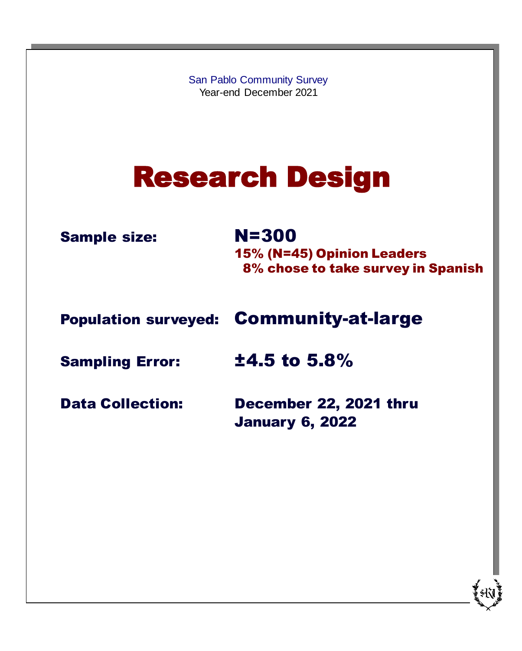San Pablo Community Survey Year-end December 2021

# Research Design

Sample size: N=300

15% (N=45) Opinion Leaders 8% chose to take survey in Spanish

Population surveyed: Community-at-large

Sampling Error: ±4.5 to 5.8%

Data Collection: December 22, 2021 thru January 6, 2022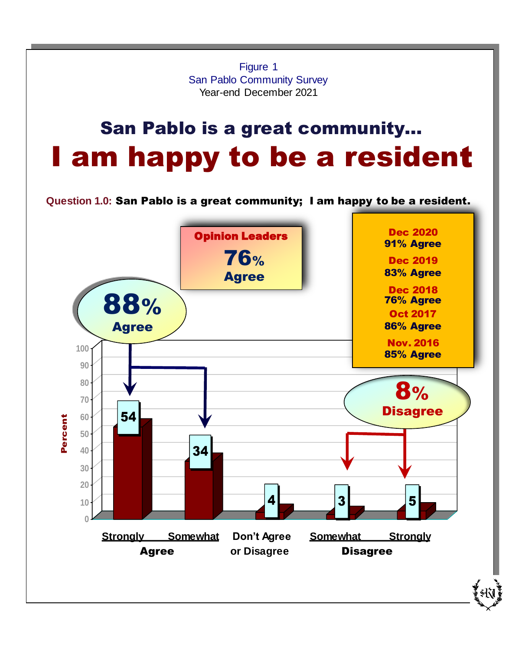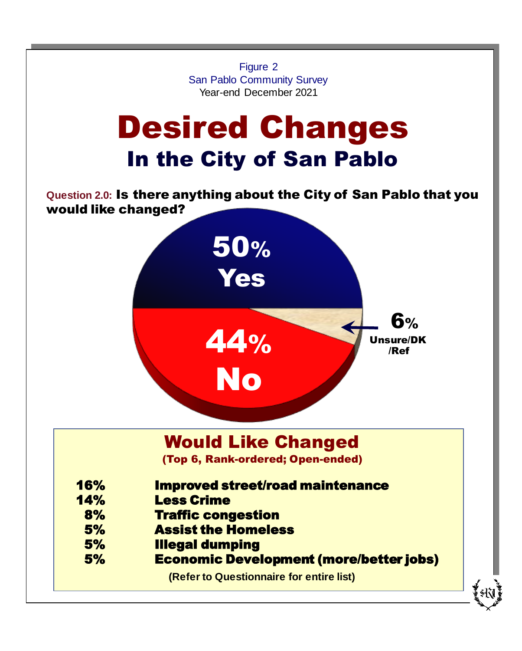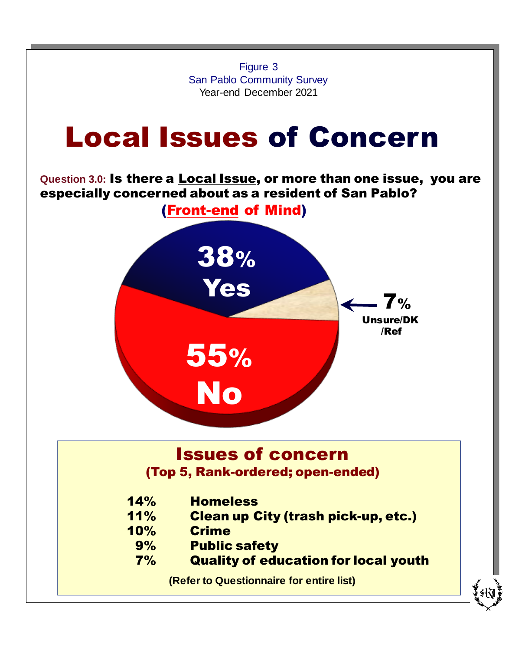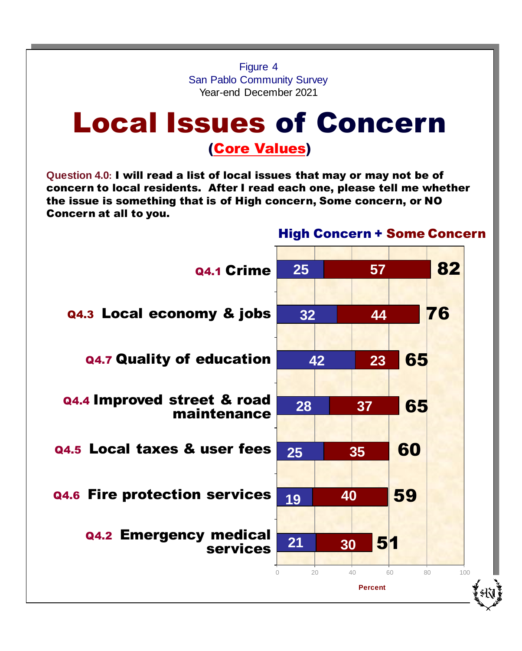Figure 4 San Pablo Community Survey Year-end December 2021

## Local Issues of Concern

### (Core Values)

**Question 4.0:** I will read a list of local issues that may or may not be of concern to local residents. After I read each one, please tell me whether the issue is something that is of High concern, Some concern, or NO Concern at all to you.

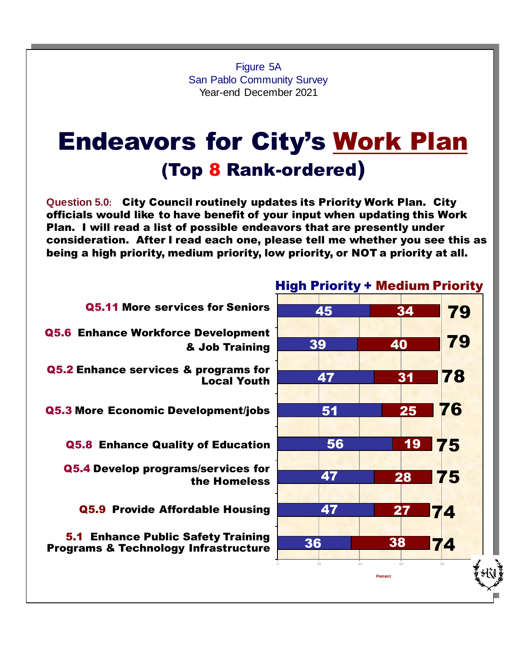Figure 5A San Pablo Community Survey Year-end December 2021

### Endeavors for City's Work Plan (Top 8 Rank-ordered)

**Question 5.0:** City Council routinely updates its Priority Work Plan. City officials would like to have benefit of your input when updating this Work Plan. I will read a list of possible endeavors that are presently under consideration. After I read each one, please tell me whether you see this as being a high priority, medium priority, low priority, or NOT a priority at all.



#### High Priority + Medium Priority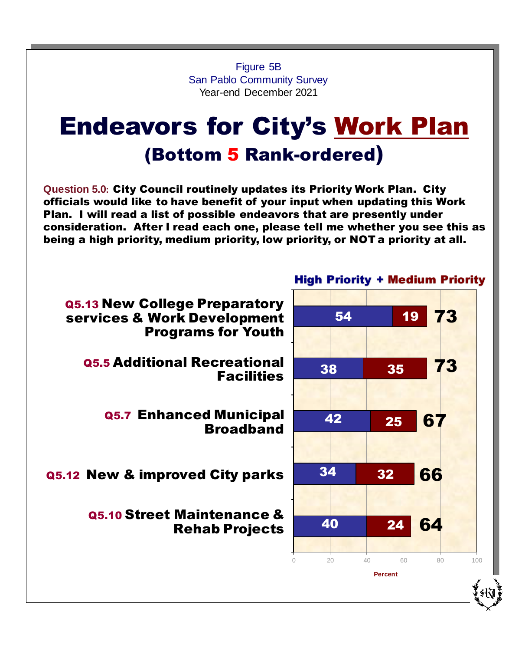Figure 5B San Pablo Community Survey Year-end December 2021

### Endeavors for City's Work Plan (Bottom 5 Rank-ordered)

**Question 5.0:** City Council routinely updates its Priority Work Plan. City officials would like to have benefit of your input when updating this Work Plan. I will read a list of possible endeavors that are presently under consideration. After I read each one, please tell me whether you see this as being a high priority, medium priority, low priority, or NOT a priority at all.

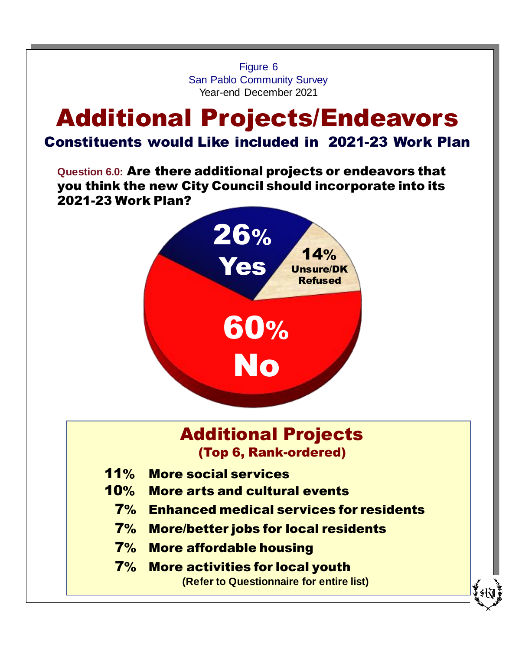Figure 6 San Pablo Community Survey Year-end December 2021

### Additional Projects/Endeavors Constituents would Like included in 2021-23 Work Plan

**Question 6.0:** Are there additional projects or endeavors that you think the new City Council should incorporate into its 2021-23 Work Plan?



### Additional Projects (Top 6, Rank-ordered)

- 11% More social services
- 10% More arts and cultural events
	- 7% Enhanced medical services for residents
	- 7% More/better jobs for local residents
	- 7% More affordable housing
	- 7% More activities for local youth **(Refer to Questionnaire for entire list)**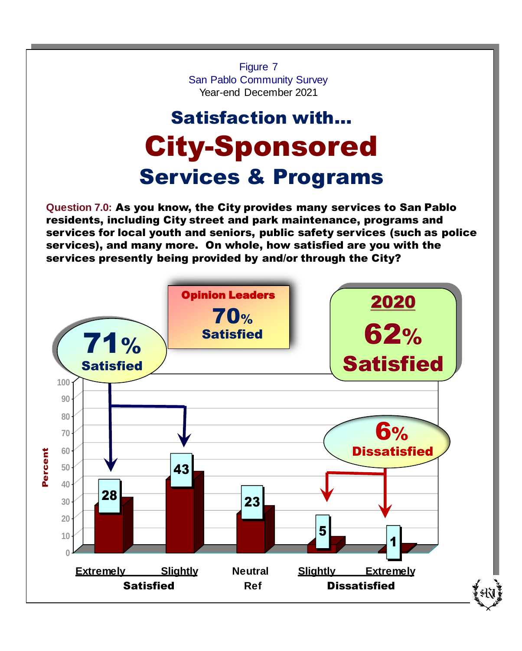**Question 7.0:** As you know, the City provides many services to San Pablo residents, including City street and park maintenance, programs and services for local youth and seniors, public safety services (such as police services), and many more. On whole, how satisfied are you with the services presently being provided by and/or through the City? Figure 7 San Pablo Community Survey Year-end December 2021 28 43 23 5 1 **0 10 20 30 40 50 60 70 80 90 100** Percent 71% **Satisfied** Opinion Leaders 70% **Satisfied Extremely Slightly Neutral Slightly Extremely** Satisfied **Ref** Dissatisfied 6% **Dissatisfied** 2020 62% **Satisfied** Satisfaction with… City-Sponsored Services & Programs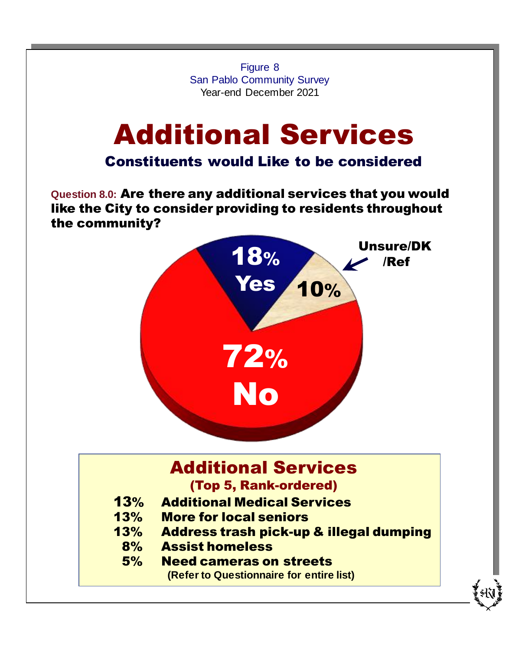Figure 8 San Pablo Community Survey Year-end December 2021

# Additional Services

### Constituents would Like to be considered

**Question 8.0:** Are there any additional services that you would like the City to consider providing to residents throughout the community?



### Additional Services

(Top 5, Rank-ordered)

- 13% Additional Medical Services
- 13% More for local seniors
- 13% Address trash pick-up & illegal dumping
	- 8% Assist homeless
	- 5% Need cameras on streets

**(Refer to Questionnaire for entire list)**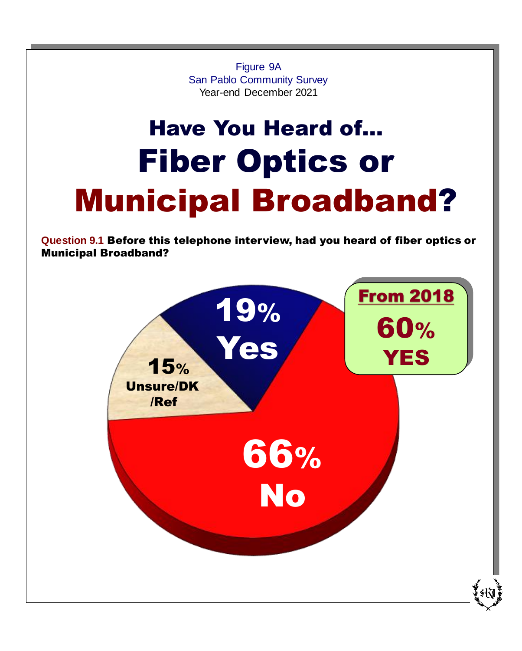Figure 9A San Pablo Community Survey Year-end December 2021

# Have You Heard of… Fiber Optics or Municipal Broadband?

**Question 9.1** Before this telephone interview, had you heard of fiber optics or Municipal Broadband?

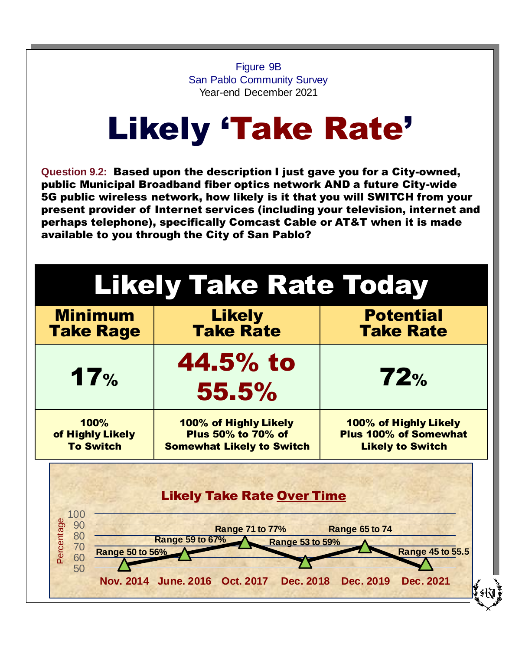Figure 9B San Pablo Community Survey Year-end December 2021

# Likely 'Take Rate'

**Question 9.2:** Based upon the description I just gave you for a City-owned, public Municipal Broadband fiber optics network AND a future City-wide 5G public wireless network, how likely is it that you will SWITCH from your present provider of Internet services (including your television, internet and perhaps telephone), specifically Comcast Cable or AT&T when it is made available to you through the City of San Pablo?

| <b>Minimum</b>                                               | <b>Likely</b>                                                                                            | <b>Potential</b>                                 |
|--------------------------------------------------------------|----------------------------------------------------------------------------------------------------------|--------------------------------------------------|
| <b>Take Rage</b>                                             | <b>Take Rate</b>                                                                                         | <b>Take Rate</b>                                 |
| 17%                                                          | 44.5% to<br>55.5%                                                                                        | 72%                                              |
| 100%                                                         | 100% of Highly Likely                                                                                    | 100% of Highly Likely                            |
| of Highly Likely                                             | <b>Plus 50% to 70% of</b>                                                                                | <b>Plus 100% of Somewhat</b>                     |
| <b>To Switch</b>                                             | <b>Somewhat Likely to Switch</b>                                                                         | <b>Likely to Switch</b>                          |
| 100<br>Percentage<br>90<br>80<br>70<br>Range 50 to 56%<br>60 | <b>Likely Take Rate Over Time</b><br><b>Range 71 to 77%</b><br>Range 59 to 67%<br><b>Range 53 to 59%</b> | <b>Range 65 to 74</b><br><b>Range 45 to 55.5</b> |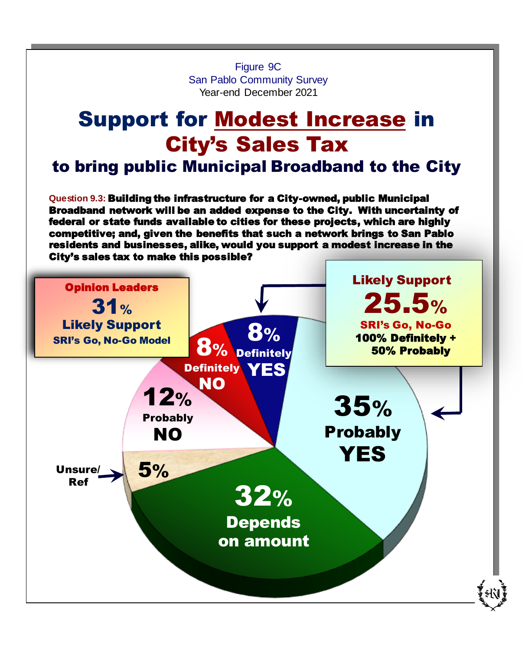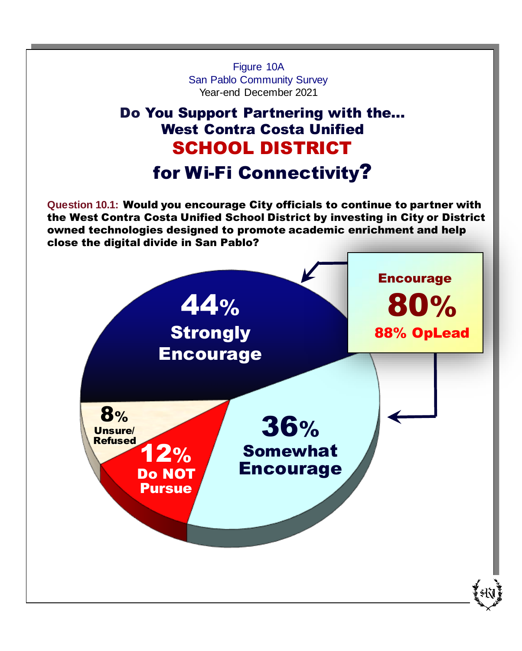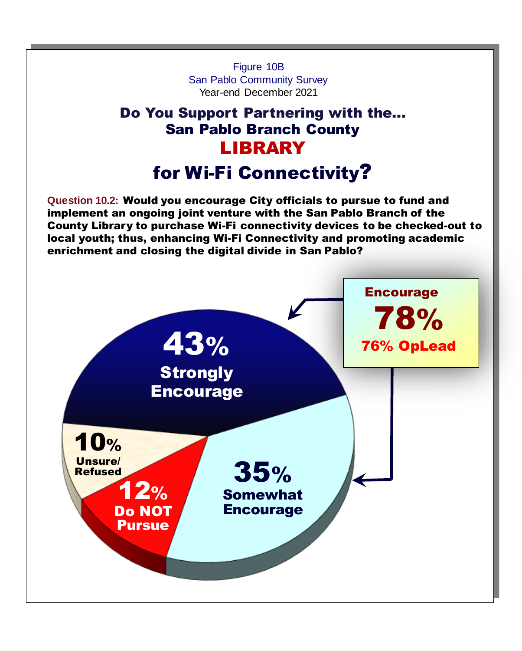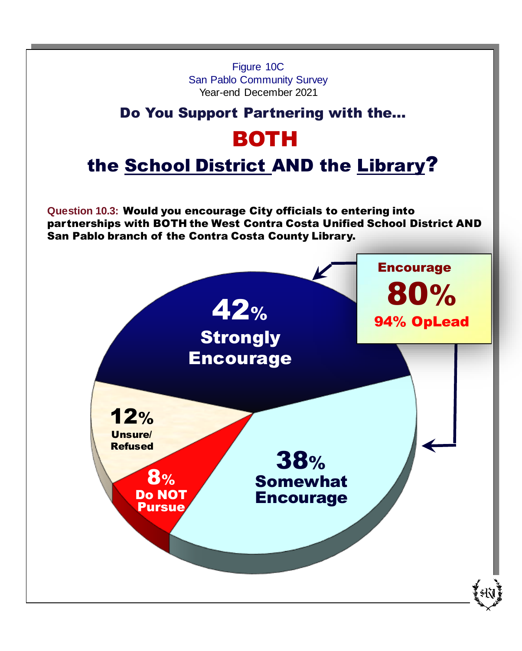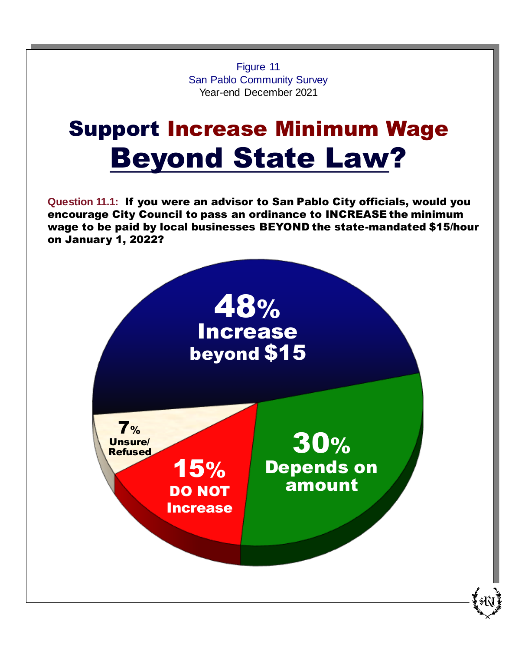Figure 11 San Pablo Community Survey Year-end December 2021

## Support Increase Minimum Wage Beyond State Law?

**Question 11.1:** If you were an advisor to San Pablo City officials, would you encourage City Council to pass an ordinance to INCREASE the minimum wage to be paid by local businesses BEYOND the state-mandated \$15/hour on January 1, 2022?

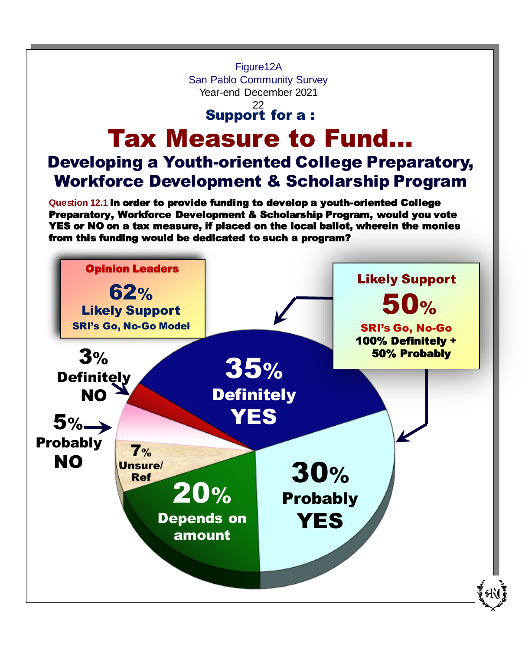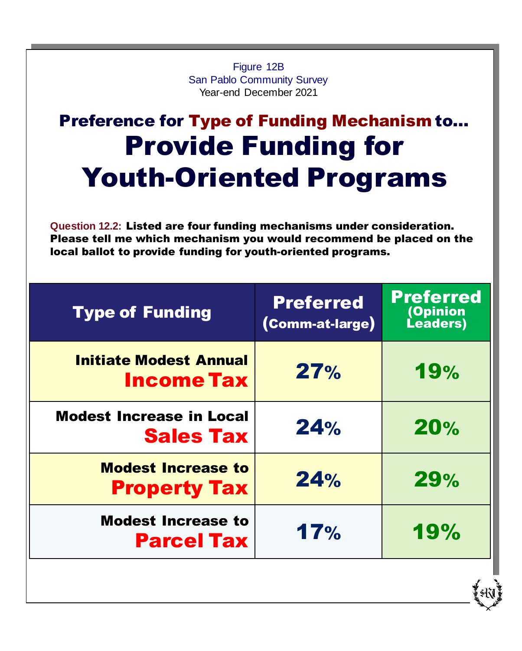Figure 12B San Pablo Community Survey Year-end December 2021

## Preference for Type of Funding Mechanism to… Provide Funding for Youth-Oriented Programs

**Question 12.2:** Listed are four funding mechanisms under consideration. Please tell me which mechanism you would recommend be placed on the local ballot to provide funding for youth-oriented programs.

| <b>Preferred</b><br>(Comm-at-large) | <b>Preferred</b><br>(Opinion<br>Leaders) |
|-------------------------------------|------------------------------------------|
| 27%                                 | <b>19%</b>                               |
| 24%                                 | 20%                                      |
| 24%                                 | 29%                                      |
| 17%                                 | 19%                                      |
|                                     |                                          |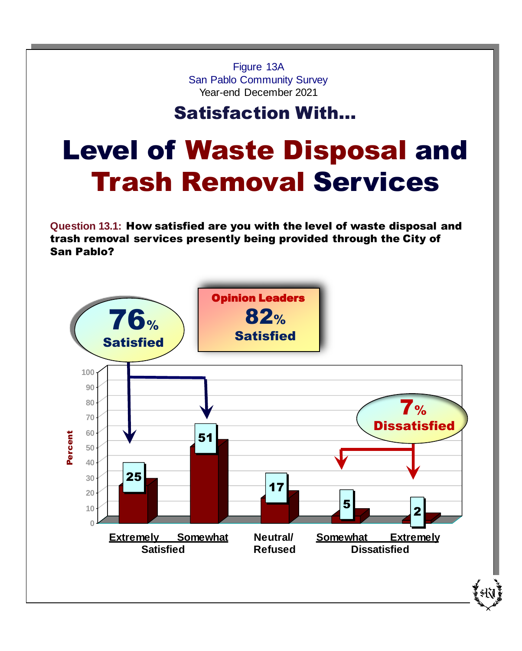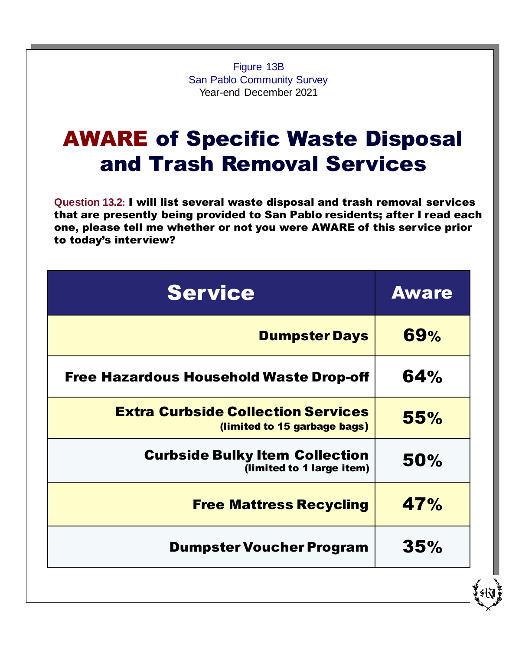Figure 13B San Pablo Community Survey Year-end December 2021

### AWARE of Specific Waste Disposal and Trash Removal Services

**Question 13.2:** I will list several waste disposal and trash removal services that are presently being provided to San Pablo residents; after I read each one, please tell me whether or not you were AWARE of this service prior to today's interview?

| <b>Aware</b> |
|--------------|
| 69%          |
| 64%          |
| 55%          |
| 50%          |
| 47%          |
| 35%          |
|              |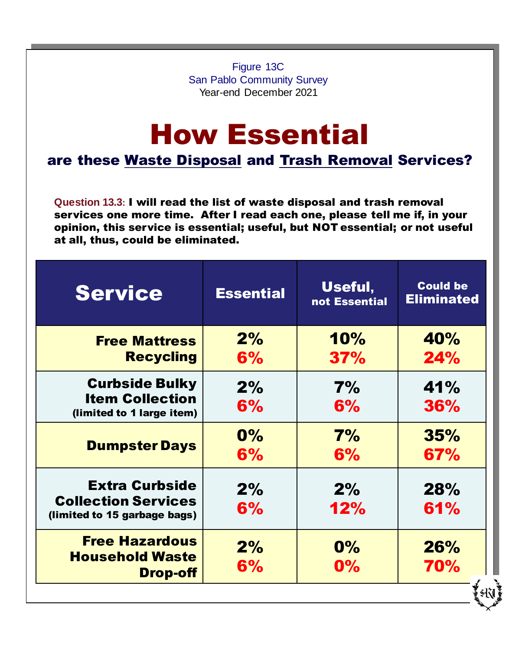Figure 13C San Pablo Community Survey Year-end December 2021

## How Essential

are these Waste Disposal and Trash Removal Services?

**Question 13.3:** I will read the list of waste disposal and trash removal services one more time. After I read each one, please tell me if, in your opinion, this service is essential; useful, but NOT essential; or not useful at all, thus, could be eliminated.

| <b>Service</b>                                             | <b>Essential</b> | Useful,<br>not Essential | <b>Could be</b><br><b>Eliminated</b> |
|------------------------------------------------------------|------------------|--------------------------|--------------------------------------|
| <b>Free Mattress</b>                                       | 2%               | 10%                      | 40%                                  |
| <b>Recycling</b>                                           | 6%               | 37%                      | 24%                                  |
| <b>Curbside Bulky</b>                                      | 2%               | 7%                       | 41%                                  |
| <b>Item Collection</b><br>(limited to 1 large item)        | 6%               | 6%                       | <b>36%</b>                           |
|                                                            | $0\%$            | 7%                       | 35%                                  |
| <b>Dumpster Days</b>                                       | 6%               | 6%                       | 67%                                  |
| <b>Extra Curbside</b>                                      | 2%               | 2%                       | <b>28%</b>                           |
| <b>Collection Services</b><br>(limited to 15 garbage bags) | 6%               | 12%                      | 61%                                  |
|                                                            |                  |                          |                                      |
| <b>Free Hazardous</b><br><b>Household Waste</b>            | 2%               | $0\%$                    | <b>26%</b>                           |
| <b>Drop-off</b>                                            | 6%               | $0\%$                    | 70%                                  |
|                                                            |                  |                          | śК                                   |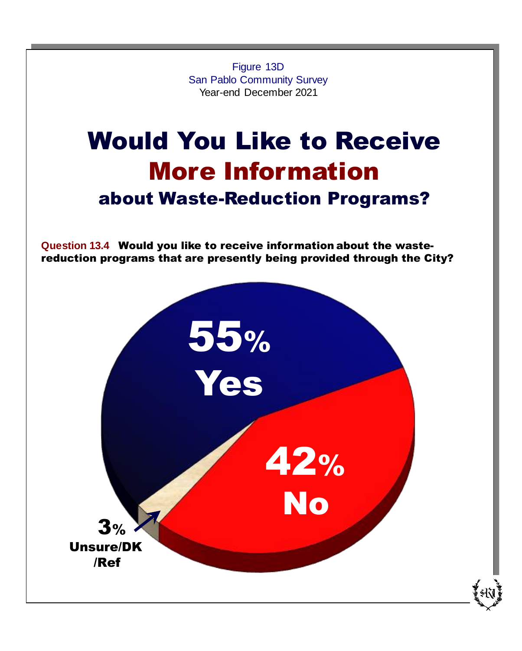Figure 13D San Pablo Community Survey Year-end December 2021

## Would You Like to Receive More Information about Waste-Reduction Programs?

**Question 13.4** Would you like to receive information about the wastereduction programs that are presently being provided through the City?

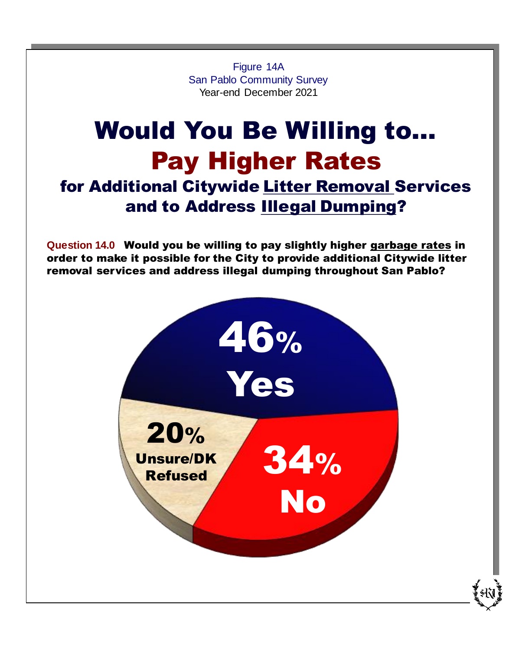Figure 14A San Pablo Community Survey Year-end December 2021

### Would You Be Willing to… Pay Higher Rates for Additional Citywide Litter Removal Services and to Address Illegal Dumping?

**Question 14.0** Would you be willing to pay slightly higher garbage rates in order to make it possible for the City to provide additional Citywide litter removal services and address illegal dumping throughout San Pablo?

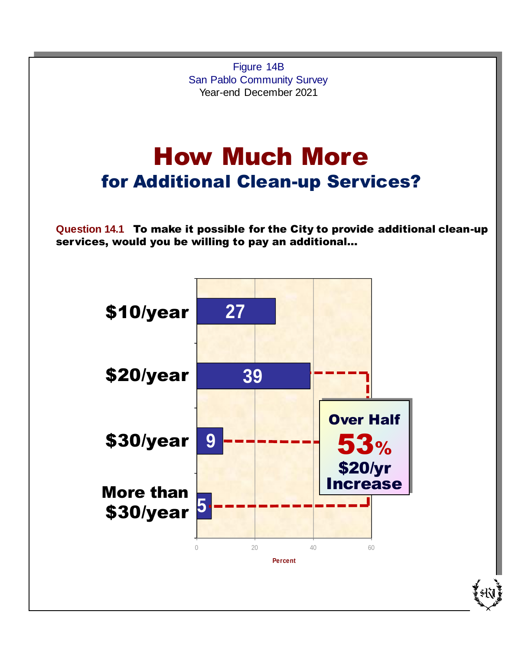How Much More for Additional Clean-up Services? **Question 14.1** To make it possible for the City to provide additional clean-up services, would you be willing to pay an additional… Figure 14B San Pablo Community Survey Year-end December 2021 \$10/year \$20/year \$30/year More than \$30/year **27 39 9 5** 0 20 40 60 **Percent** Over Half 53% \$20/yr Increase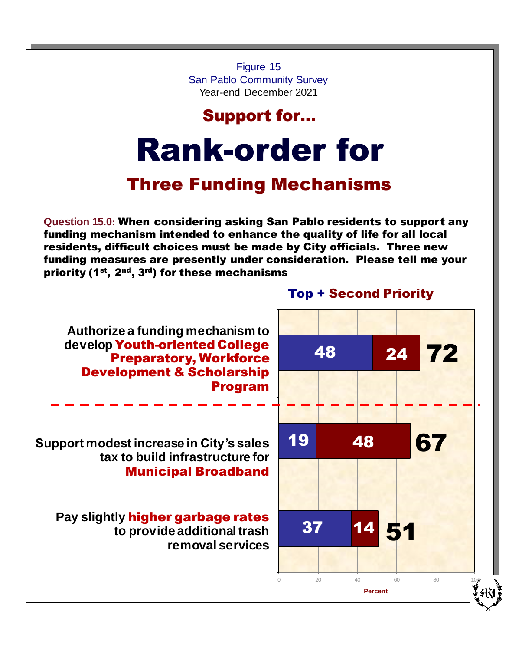Figure 15 San Pablo Community Survey Year-end December 2021

### Support for…

# Rank-order for

### Three Funding Mechanisms

**Question 15.0:** When considering asking San Pablo residents to support any funding mechanism intended to enhance the quality of life for all local residents, difficult choices must be made by City officials. Three new funding measures are presently under consideration. Please tell me your priority (1<sup>st</sup>, 2<sup>nd</sup>, 3<sup>rd</sup>) for these mechanisms

**Authorize a funding mechanism to develop** Youth-oriented College Preparatory, Workforce Development & Scholarship Program

**Support modest increase in City's sales tax to build infrastructure for** Municipal Broadband

**Pay slightly** higher garbage rates **to provide additional trash removal services**

### Top + Second Priority

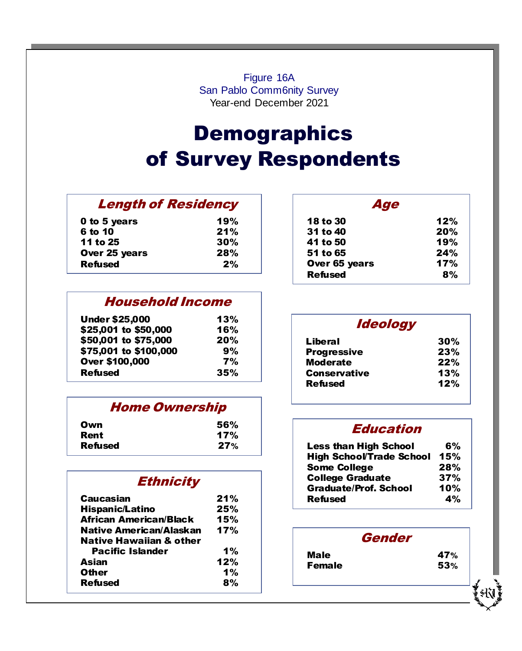Figure 16A San Pablo Comm6nity Survey Year-end December 2021

### **Demographic** of Survey Respondents **Demographics** of Survey Respondents

#### $\frac{1}{2}$   $\frac{1}{2}$   $\frac{1}{2}$   $\frac{1}{2}$   $\frac{1}{2}$   $\frac{1}{2}$   $\frac{1}{2}$   $\frac{1}{2}$   $\frac{1}{2}$   $\frac{1}{2}$   $\frac{1}{2}$   $\frac{1}{2}$   $\frac{1}{2}$   $\frac{1}{2}$   $\frac{1}{2}$   $\frac{1}{2}$   $\frac{1}{2}$   $\frac{1}{2}$   $\frac{1}{2}$   $\frac{1}{2}$   $\frac{1}{2}$   $\frac{1}{2}$  Length of Residency

| 0 to 5 years   | 19% |
|----------------|-----|
| 6 to 10        | 21% |
| 11 to 25       | 30% |
| Over 25 years  | 28% |
| <b>Refused</b> | 2%  |

#### Household Income Household Income

| <b>Under \$25,000</b> | 13%       |
|-----------------------|-----------|
| \$25,001 to \$50,000  | 16%       |
| \$50,001 to \$75,000  | 20%       |
| \$75,001 to \$100,000 | 9%        |
| <b>Over \$100,000</b> | <b>7%</b> |
| <b>Refused</b>        | 35%       |

#### $\frac{1}{\sqrt{1-\frac{1}{\sqrt{1-\frac{1}{\sqrt{1-\frac{1}{\sqrt{1-\frac{1}{\sqrt{1-\frac{1}{\sqrt{1-\frac{1}{\sqrt{1-\frac{1}{\sqrt{1-\frac{1}{\sqrt{1-\frac{1}{\sqrt{1-\frac{1}{\sqrt{1-\frac{1}{\sqrt{1-\frac{1}{\sqrt{1-\frac{1}{\sqrt{1-\frac{1}{\sqrt{1-\frac{1}{\sqrt{1-\frac{1}{\sqrt{1-\frac{1}{\sqrt{1-\frac{1}{\sqrt{1-\frac{1}{\sqrt{1-\frac{1}{\sqrt{1-\frac{1}{\sqrt{1-\frac{1}{\sqrt{1-\frac{1}{\sqrt{1-\frac{1$ Home Ownership

| Own            | 56% |
|----------------|-----|
| Rent           | 17% |
| <b>Refused</b> | 27% |

| <b>Ethnicity</b>                   |     |
|------------------------------------|-----|
| Caucasian                          | 21% |
| <b>Hispanic/Latino</b>             | 25% |
| <b>African American/Black</b>      | 15% |
| Native American/Alaskan            | 17% |
| <b>Native Hawaiian &amp; other</b> |     |
| <b>Pacific Islander</b>            | 1%  |
| Asian                              | 12% |
| <b>Other</b>                       | 1%  |
| <b>Refused</b>                     | 8%  |

| 12% |
|-----|
| 20% |
| 19% |
| 24% |
| 17% |
| 8%  |
|     |

 $\overline{\phantom{a}}$ 

| <i><b>Ideology</b></i> |     |
|------------------------|-----|
| Liberal                | 30% |
| <b>Progressive</b>     | 23% |
| <b>Moderate</b>        | 22% |
| <b>Conservative</b>    | 13% |
| <b>Refused</b>         | 12% |

#### <u>Education in the control of the control of the control of the control of the control of the control of the con</u> Less than High School 2 and 10 and 10 and 10 and 10 and 10 and 10 and 10 and 10 and 10 and 10 and 10 and 10 and 10 and 10 and 10 and 10 and 10 and 10 and 10 and 10 and 10 and 10 and 10 and 10 and 10 and 10 and 10 and 10 an Education

|                  | 27%                     | <b>Less than High School</b>    | 6%  |
|------------------|-------------------------|---------------------------------|-----|
|                  |                         | <b>High School/Trade School</b> | 15% |
|                  |                         | <b>Some College</b>             | 28% |
| <b>Ethnicity</b> | <b>College Graduate</b> | 37%                             |     |
|                  |                         | <b>Graduate/Prof. School</b>    | 10% |
|                  | 21%                     | <b>Refused</b>                  | 4%  |
|                  |                         |                                 |     |

|               | <b>Gender</b> |
|---------------|---------------|
| Male          | <b>47%</b>    |
| <b>Female</b> | <b>53%</b>    |